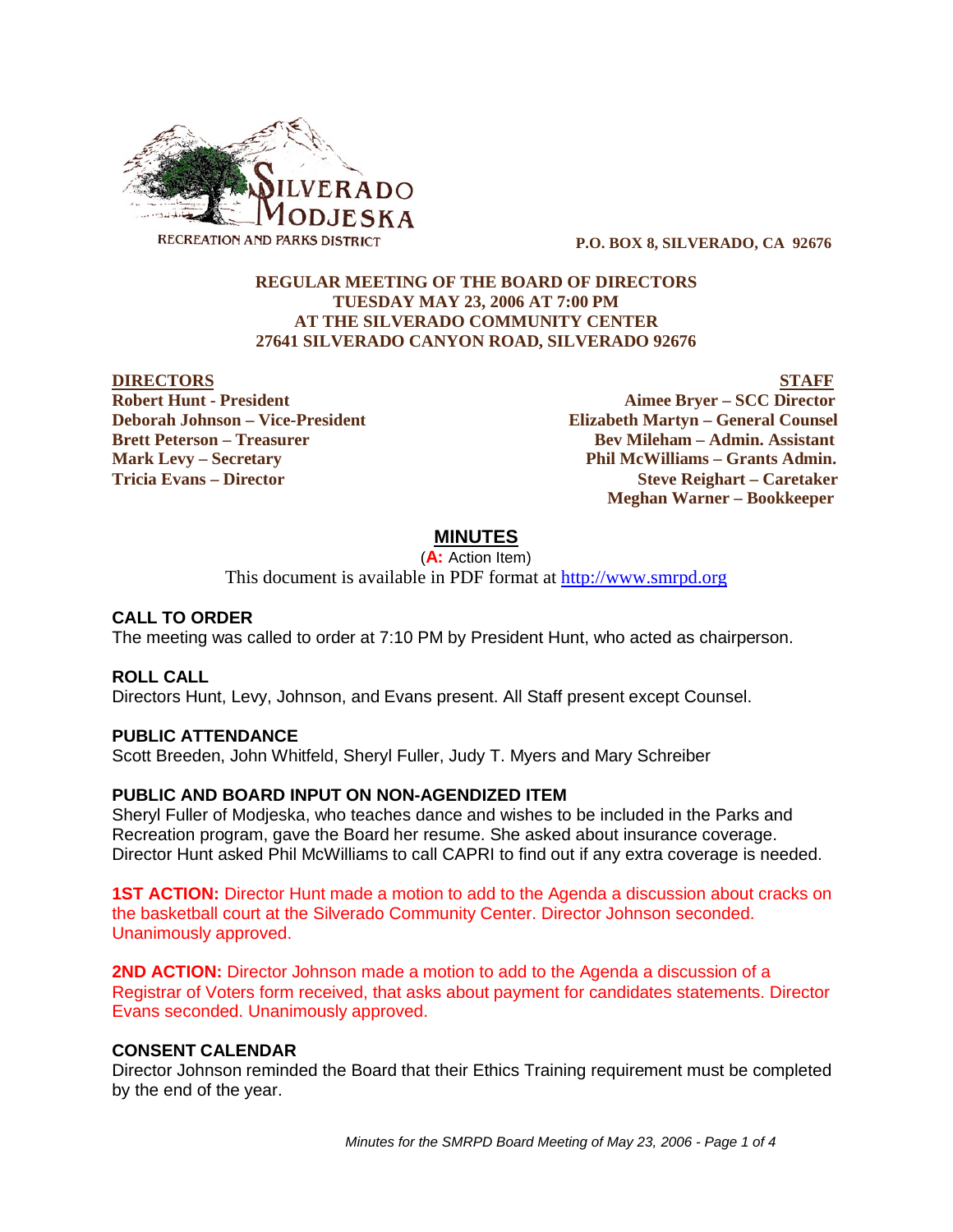

 **P.O. BOX 8, SILVERADO, CA 92676**

## **REGULAR MEETING OF THE BOARD OF DIRECTORS TUESDAY MAY 23, 2006 AT 7:00 PM AT THE SILVERADO COMMUNITY CENTER 27641 SILVERADO CANYON ROAD, SILVERADO 92676**

**DIRECTORS** STAFF **Robert Hunt - President Aimee Bryer – SCC Director Deborah Johnson – Vice-President Elizabeth Martyn – General Counsel Brett Peterson – Treasurer Serverson – Bev Mileham – Admin. Assistant Mark Levy – Secretary Phil McWilliams – Grants Admin. Tricia Evans – Director Steve Reighart – Caretaker Meghan Warner – Bookkeeper**

# **MINUTES**

(**A:** Action Item)

This document is available in PDF format at http://www.smrpd.org

## **CALL TO ORDER**

The meeting was called to order at 7:10 PM by President Hunt, who acted as chairperson.

### **ROLL CALL**

Directors Hunt, Levy, Johnson, and Evans present. All Staff present except Counsel.

### **PUBLIC ATTENDANCE**

Scott Breeden, John Whitfeld, Sheryl Fuller, Judy T. Myers and Mary Schreiber

### **PUBLIC AND BOARD INPUT ON NON-AGENDIZED ITEM**

Sheryl Fuller of Modjeska, who teaches dance and wishes to be included in the Parks and Recreation program, gave the Board her resume. She asked about insurance coverage. Director Hunt asked Phil McWilliams to call CAPRI to find out if any extra coverage is needed.

**1ST ACTION:** Director Hunt made a motion to add to the Agenda a discussion about cracks on the basketball court at the Silverado Community Center. Director Johnson seconded. Unanimously approved.

**2ND ACTION:** Director Johnson made a motion to add to the Agenda a discussion of a Registrar of Voters form received, that asks about payment for candidates statements. Director Evans seconded. Unanimously approved.

### **CONSENT CALENDAR**

Director Johnson reminded the Board that their Ethics Training requirement must be completed by the end of the year.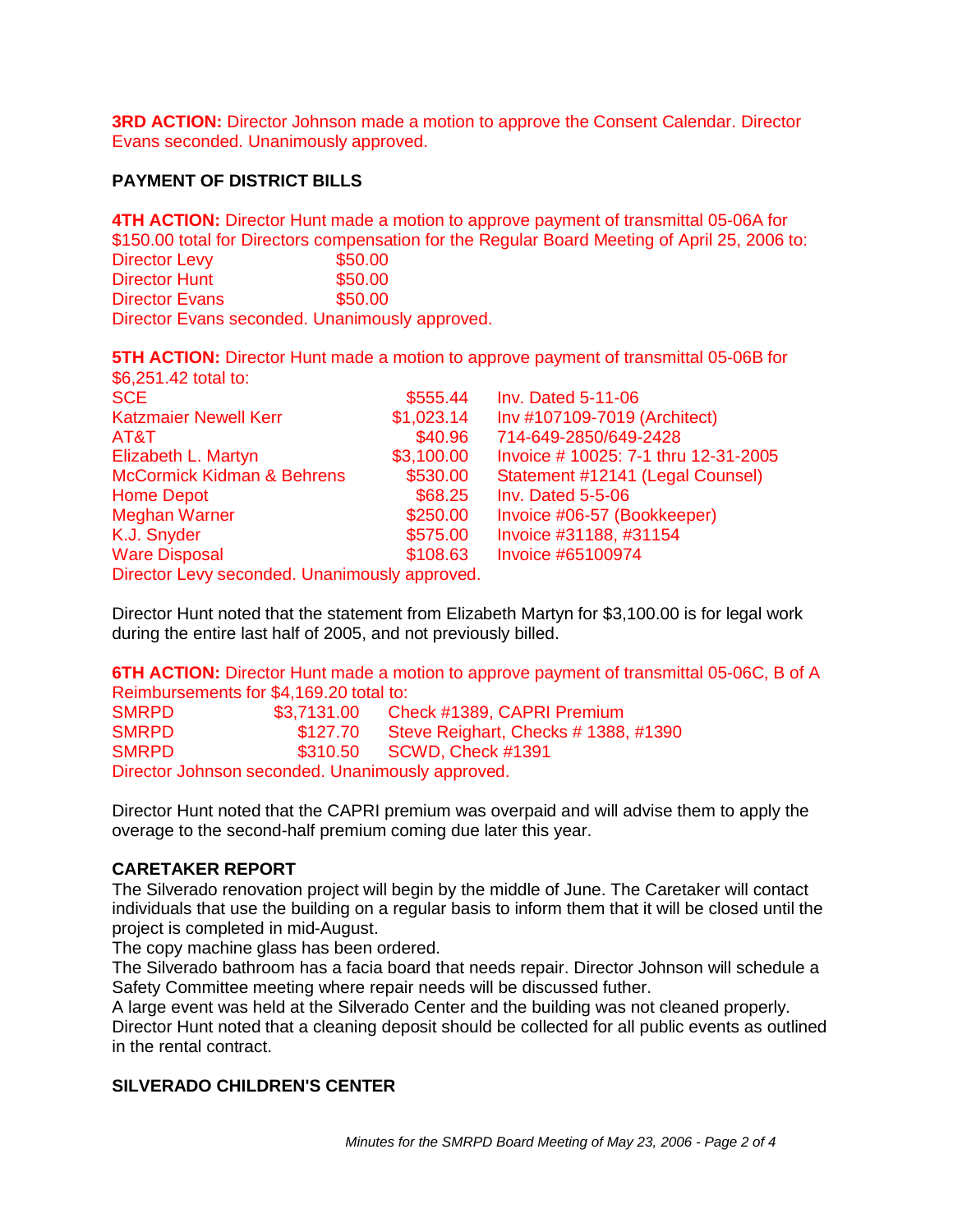**3RD ACTION:** Director Johnson made a motion to approve the Consent Calendar. Director Evans seconded. Unanimously approved.

## **PAYMENT OF DISTRICT BILLS**

**4TH ACTION:** Director Hunt made a motion to approve payment of transmittal 05-06A for \$150.00 total for Directors compensation for the Regular Board Meeting of April 25, 2006 to: Director Levy 650.00 Director Hunt \$50.00 Director Evans \$50.00 Director Evans seconded. Unanimously approved.

**5TH ACTION:** Director Hunt made a motion to approve payment of transmittal 05-06B for \$6,251.42 total to:

| <b>SCE</b>                                    | \$555.44   | <b>Inv. Dated 5-11-06</b>           |
|-----------------------------------------------|------------|-------------------------------------|
| <b>Katzmaier Newell Kerr</b>                  | \$1,023.14 | Inv #107109-7019 (Architect)        |
| AT&T                                          | \$40.96    | 714-649-2850/649-2428               |
| Elizabeth L. Martyn                           | \$3,100.00 | Invoice #10025: 7-1 thru 12-31-2005 |
| <b>McCormick Kidman &amp; Behrens</b>         | \$530.00   | Statement #12141 (Legal Counsel)    |
| <b>Home Depot</b>                             | \$68.25    | <b>Inv. Dated 5-5-06</b>            |
| <b>Meghan Warner</b>                          | \$250.00   | Invoice #06-57 (Bookkeeper)         |
| K.J. Snyder                                   | \$575.00   | Invoice #31188, #31154              |
| <b>Ware Disposal</b>                          | \$108.63   | Invoice #65100974                   |
| Director Levy seconded. Unanimously approved. |            |                                     |

Director Hunt noted that the statement from Elizabeth Martyn for \$3,100.00 is for legal work during the entire last half of 2005, and not previously billed.

**6TH ACTION:** Director Hunt made a motion to approve payment of transmittal 05-06C, B of A Reimbursements for \$4,169.20 total to:

| <b>SMRPD</b>                                     | \$3,7131.00 | Check #1389, CAPRI Premium           |  |
|--------------------------------------------------|-------------|--------------------------------------|--|
| <b>SMRPD</b>                                     | \$127.70    | Steve Reighart, Checks # 1388, #1390 |  |
| <b>SMRPD</b>                                     |             | \$310.50 SCWD, Check #1391           |  |
| Director Johnson seconded. Unanimously approved. |             |                                      |  |

Director Hunt noted that the CAPRI premium was overpaid and will advise them to apply the overage to the second-half premium coming due later this year.

### **CARETAKER REPORT**

The Silverado renovation project will begin by the middle of June. The Caretaker will contact individuals that use the building on a regular basis to inform them that it will be closed until the project is completed in mid-August.

The copy machine glass has been ordered.

The Silverado bathroom has a facia board that needs repair. Director Johnson will schedule a Safety Committee meeting where repair needs will be discussed futher.

A large event was held at the Silverado Center and the building was not cleaned properly. Director Hunt noted that a cleaning deposit should be collected for all public events as outlined in the rental contract.

### **SILVERADO CHILDREN'S CENTER**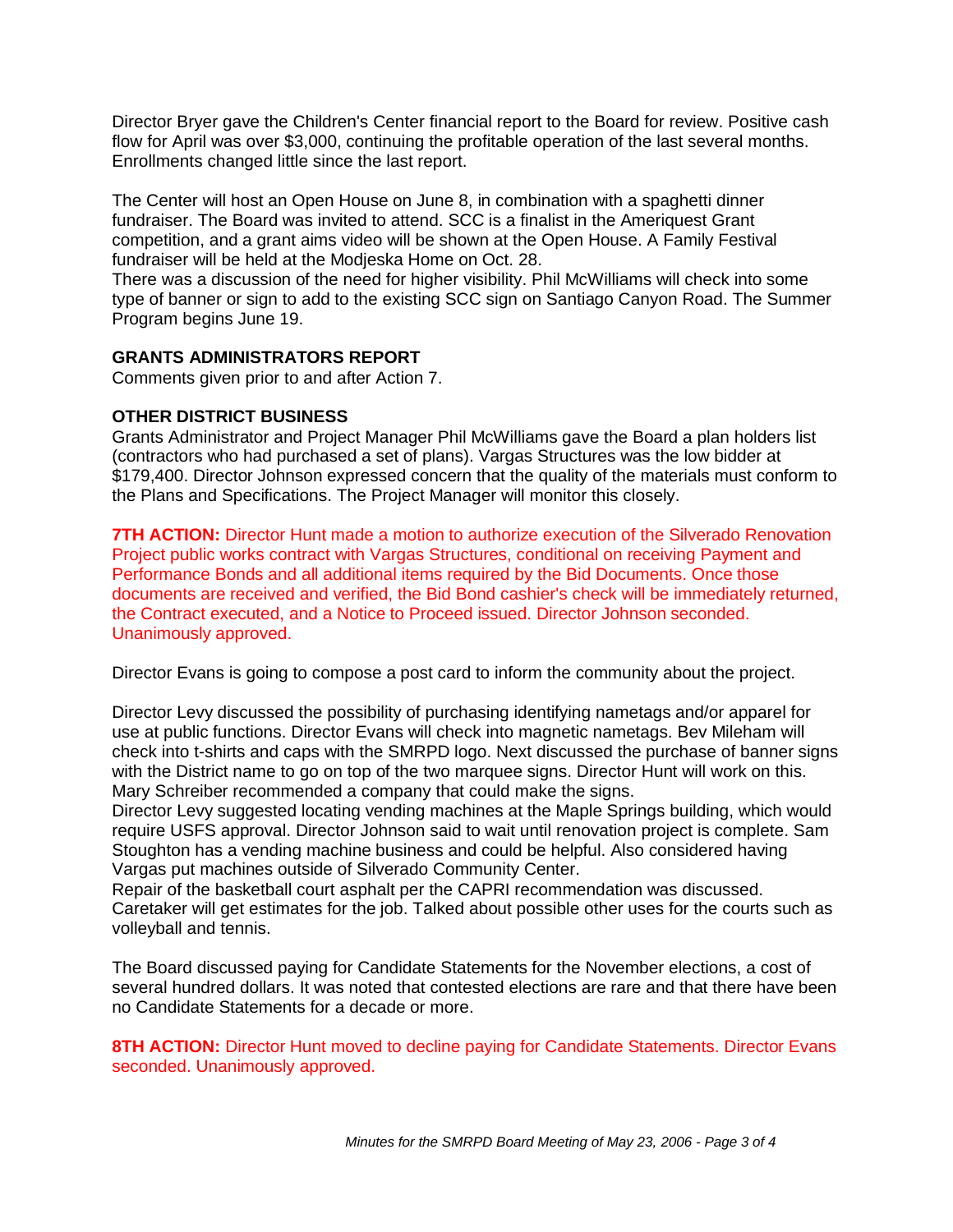Director Bryer gave the Children's Center financial report to the Board for review. Positive cash flow for April was over \$3,000, continuing the profitable operation of the last several months. Enrollments changed little since the last report.

The Center will host an Open House on June 8, in combination with a spaghetti dinner fundraiser. The Board was invited to attend. SCC is a finalist in the Ameriquest Grant competition, and a grant aims video will be shown at the Open House. A Family Festival fundraiser will be held at the Modjeska Home on Oct. 28.

There was a discussion of the need for higher visibility. Phil McWilliams will check into some type of banner or sign to add to the existing SCC sign on Santiago Canyon Road. The Summer Program begins June 19.

## **GRANTS ADMINISTRATORS REPORT**

Comments given prior to and after Action 7.

## **OTHER DISTRICT BUSINESS**

Grants Administrator and Project Manager Phil McWilliams gave the Board a plan holders list (contractors who had purchased a set of plans). Vargas Structures was the low bidder at \$179,400. Director Johnson expressed concern that the quality of the materials must conform to the Plans and Specifications. The Project Manager will monitor this closely.

**7TH ACTION:** Director Hunt made a motion to authorize execution of the Silverado Renovation Project public works contract with Vargas Structures, conditional on receiving Payment and Performance Bonds and all additional items required by the Bid Documents. Once those documents are received and verified, the Bid Bond cashier's check will be immediately returned, the Contract executed, and a Notice to Proceed issued. Director Johnson seconded. Unanimously approved.

Director Evans is going to compose a post card to inform the community about the project.

Director Levy discussed the possibility of purchasing identifying nametags and/or apparel for use at public functions. Director Evans will check into magnetic nametags. Bev Mileham will check into t-shirts and caps with the SMRPD logo. Next discussed the purchase of banner signs with the District name to go on top of the two marquee signs. Director Hunt will work on this. Mary Schreiber recommended a company that could make the signs.

Director Levy suggested locating vending machines at the Maple Springs building, which would require USFS approval. Director Johnson said to wait until renovation project is complete. Sam Stoughton has a vending machine business and could be helpful. Also considered having Vargas put machines outside of Silverado Community Center.

Repair of the basketball court asphalt per the CAPRI recommendation was discussed. Caretaker will get estimates for the job. Talked about possible other uses for the courts such as volleyball and tennis.

The Board discussed paying for Candidate Statements for the November elections, a cost of several hundred dollars. It was noted that contested elections are rare and that there have been no Candidate Statements for a decade or more.

**8TH ACTION:** Director Hunt moved to decline paying for Candidate Statements. Director Evans seconded. Unanimously approved.